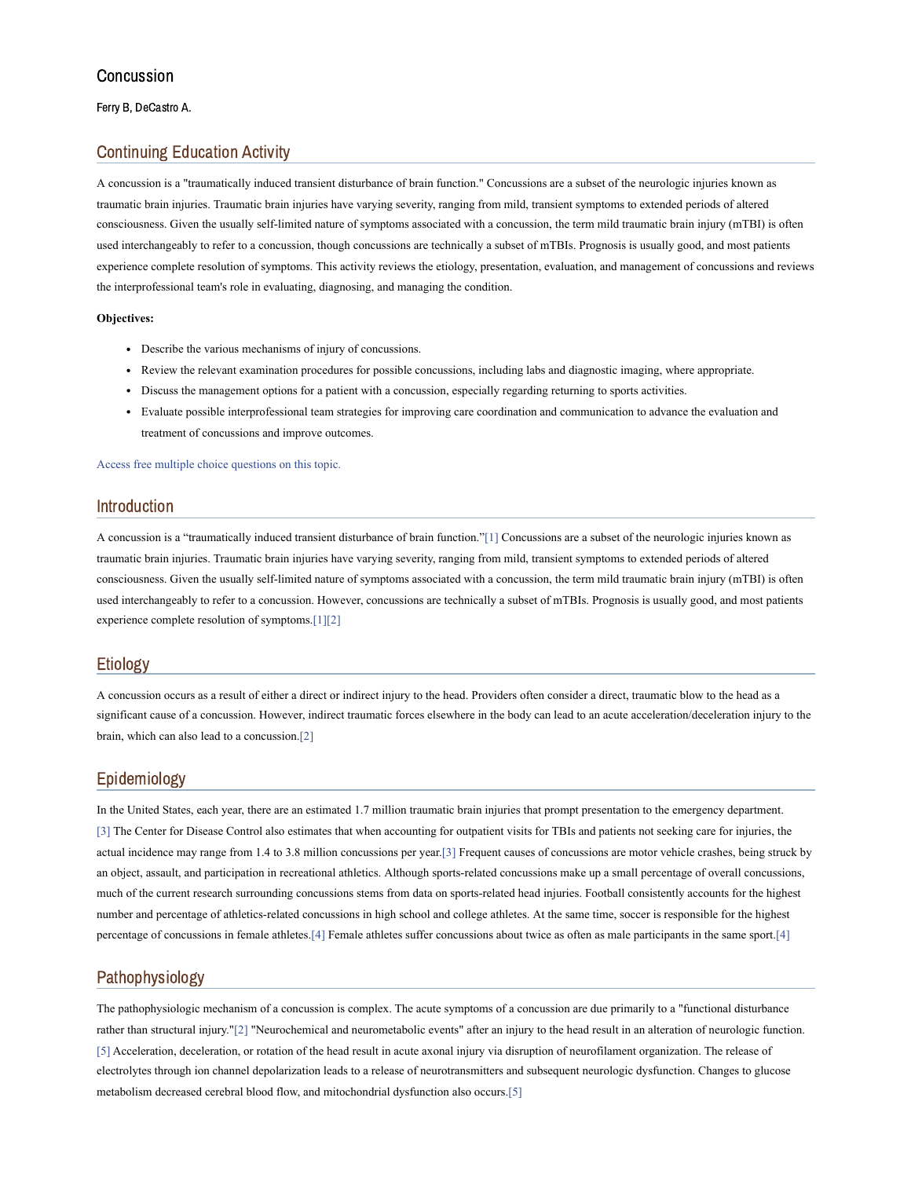Ferry B, DeCastro A.

### Continuing Education Activity

A concussion is a "traumatically induced transient disturbance of brain function." Concussions are a subset of the neurologic injuries known as traumatic brain injuries. Traumatic brain injuries have varying severity, ranging from mild, transient symptoms to extended periods of altered consciousness. Given the usually self-limited nature of symptoms associated with a concussion, the term mild traumatic brain injury (mTBI) is often used interchangeably to refer to a concussion, though concussions are technically a subset of mTBIs. Prognosis is usually good, and most patients experience complete resolution of symptoms. This activity reviews the etiology, presentation, evaluation, and management of concussions and reviews the interprofessional team's role in evaluating, diagnosing, and managing the condition.

#### **Objectives:**

- Describe the various mechanisms of injury of concussions.
- Review the relevant examination procedures for possible concussions, including labs and diagnostic imaging, where appropriate.
- Discuss the management options for a patient with a concussion, especially regarding returning to sports activities.
- Evaluate possible interprofessional team strategies for improving care coordination and communication to advance the evaluation and treatment of concussions and improve outcomes.

Access free multiple choice [questions](https://www.statpearls.com/account/trialuserreg/?articleid=42922&utm_source=pubmed&utm_campaign=reviews&utm_content=42922) on this topic.

### Introduction

A concussion is a "traumatically induced transient disturbance of brain function."[\[1\]](#page-4-0) Concussions are a subset of the neurologic injuries known as traumatic brain injuries. Traumatic brain injuries have varying severity, ranging from mild, transient symptoms to extended periods of altered consciousness. Given the usually self-limited nature of symptoms associated with a concussion, the term mild traumatic brain injury (mTBI) is often used interchangeably to refer to a concussion. However, concussions are technically a subset of mTBIs. Prognosis is usually good, and most patients experience complete resolution of symptoms.[\[1\]](#page-4-0)[\[2\]](#page-4-1)

### Etiology

A concussion occurs as a result of either a direct or indirect injury to the head. Providers often consider a direct, traumatic blow to the head as a significant cause of a concussion. However, indirect traumatic forces elsewhere in the body can lead to an acute acceleration/deceleration injury to the brain, which can also lead to a concussion.[\[2\]](#page-4-1)

### Epidemiology

In the United States, each year, there are an estimated 1.7 million traumatic brain injuries that prompt presentation to the emergency department. [\[3\]](#page-4-2) The Center for Disease Control also estimates that when accounting for outpatient visits for TBIs and patients not seeking care for injuries, the actual incidence may range from 1.4 to 3.8 million concussions per year.[\[3\]](#page-4-2) Frequent causes of concussions are motor vehicle crashes, being struck by an object, assault, and participation in recreational athletics. Although sports-related concussions make up a small percentage of overall concussions, much of the current research surrounding concussions stems from data on sports-related head injuries. Football consistently accounts for the highest number and percentage of athletics-related concussions in high school and college athletes. At the same time, soccer is responsible for the highest percentage of concussions in female athletes[.\[4\]](#page-4-3) Female athletes suffer concussions about twice as often as male participants in the same sport.[\[4\]](#page-4-3)

### Pathophysiology

The pathophysiologic mechanism of a concussion is complex. The acute symptoms of a concussion are due primarily to a "functional disturbance rather than structural injury.["\[2\]](#page-4-1) "Neurochemical and neurometabolic events" after an injury to the head result in an alteration of neurologic function. [\[5\]](#page-4-4) Acceleration, deceleration, or rotation of the head result in acute axonal injury via disruption of neurofilament organization. The release of electrolytes through ion channel depolarization leads to a release of neurotransmitters and subsequent neurologic dysfunction. Changes to glucose metabolism decreased cerebral blood flow, and mitochondrial dysfunction also occurs.[\[5\]](#page-4-4)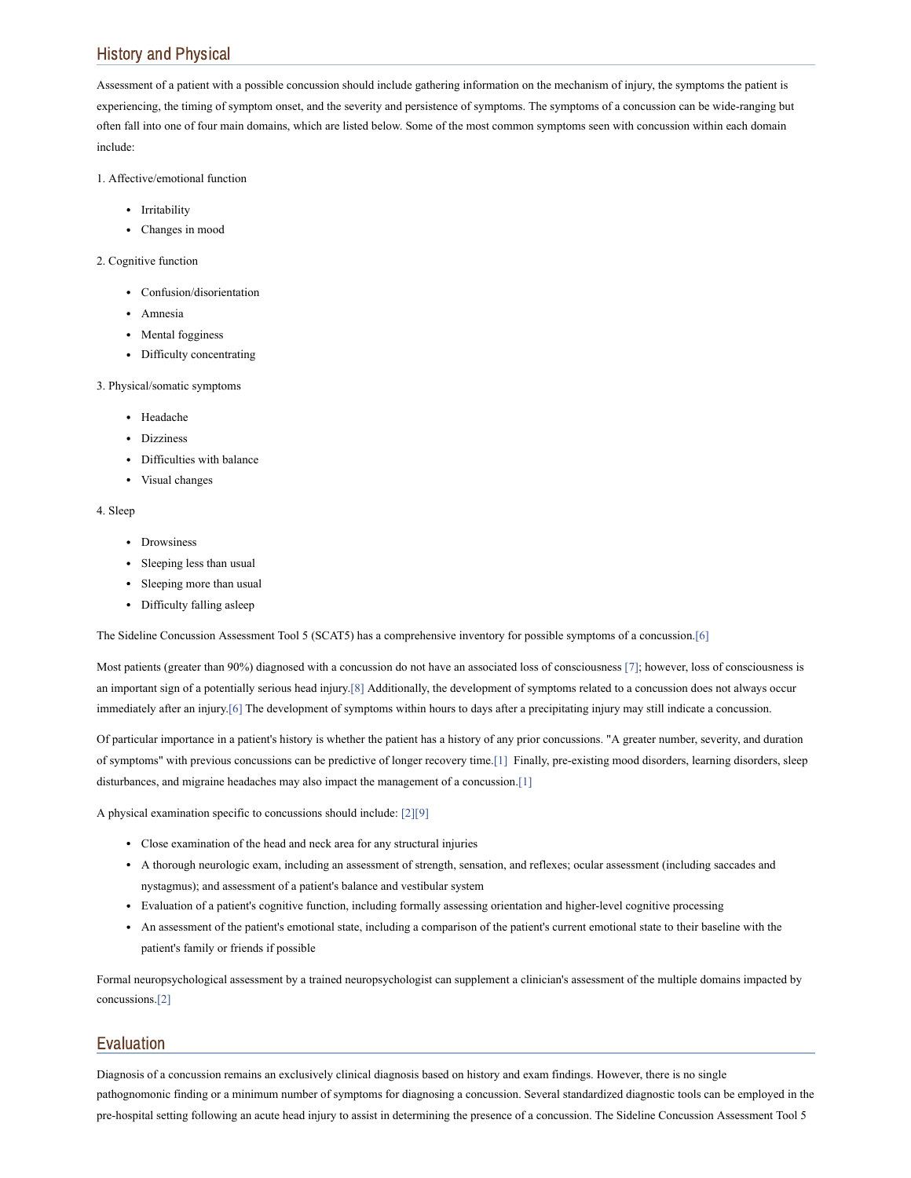# History and Physical

Assessment of a patient with a possible concussion should include gathering information on the mechanism of injury, the symptoms the patient is experiencing, the timing of symptom onset, and the severity and persistence of symptoms. The symptoms of a concussion can be wide-ranging but often fall into one of four main domains, which are listed below. Some of the most common symptoms seen with concussion within each domain include:

1. Affective/emotional function

- Irritability
- Changes in mood

#### 2. Cognitive function

- Confusion/disorientation
- Amnesia
- Mental fogginess
- Difficulty concentrating

#### 3. Physical/somatic symptoms

- Headache
- Dizziness
- Difficulties with balance
- Visual changes

#### 4. Sleep

- Drowsiness
- Sleeping less than usual
- Sleeping more than usual
- Difficulty falling asleep

The Sideline Concussion Assessment Tool 5 (SCAT5) has a comprehensive inventory for possible symptoms of a concussion.[\[6\]](#page-4-5)

Most patients (greater than 90%) diagnosed with a concussion do not have an associated loss of consciousness [\[7\];](#page-4-6) however, loss of consciousness is an important sign of a potentially serious head injury.[\[8\]](#page-4-7) Additionally, the development of symptoms related to a concussion does not always occur immediately after an injury.[\[6\]](#page-4-5) The development of symptoms within hours to days after a precipitating injury may still indicate a concussion.

Of particular importance in a patient's history is whether the patient has a history of any prior concussions. "A greater number, severity, and duration of symptoms" with previous concussions can be predictive of longer recovery time[.\[1\]](#page-4-0) Finally, pre-existing mood disorders, learning disorders, sleep disturbances, and migraine headaches may also impact the management of a concussion.[\[1\]](#page-4-0)

A physical examination specific to concussions should include: [\[2\]](#page-4-1)[\[9\]](#page-4-8)

- Close examination of the head and neck area for any structural injuries
- A thorough neurologic exam, including an assessment of strength, sensation, and reflexes; ocular assessment (including saccades and nystagmus); and assessment of a patient's balance and vestibular system
- Evaluation of a patient's cognitive function, including formally assessing orientation and higher-level cognitive processing
- An assessment of the patient's emotional state, including a comparison of the patient's current emotional state to their baseline with the patient's family or friends if possible

Formal neuropsychological assessment by a trained neuropsychologist can supplement a clinician's assessment of the multiple domains impacted by concussions.[\[2\]](#page-4-1)

# Evaluation

Diagnosis of a concussion remains an exclusively clinical diagnosis based on history and exam findings. However, there is no single pathognomonic finding or a minimum number of symptoms for diagnosing a concussion. Several standardized diagnostic tools can be employed in the pre-hospital setting following an acute head injury to assist in determining the presence of a concussion. The Sideline Concussion Assessment Tool 5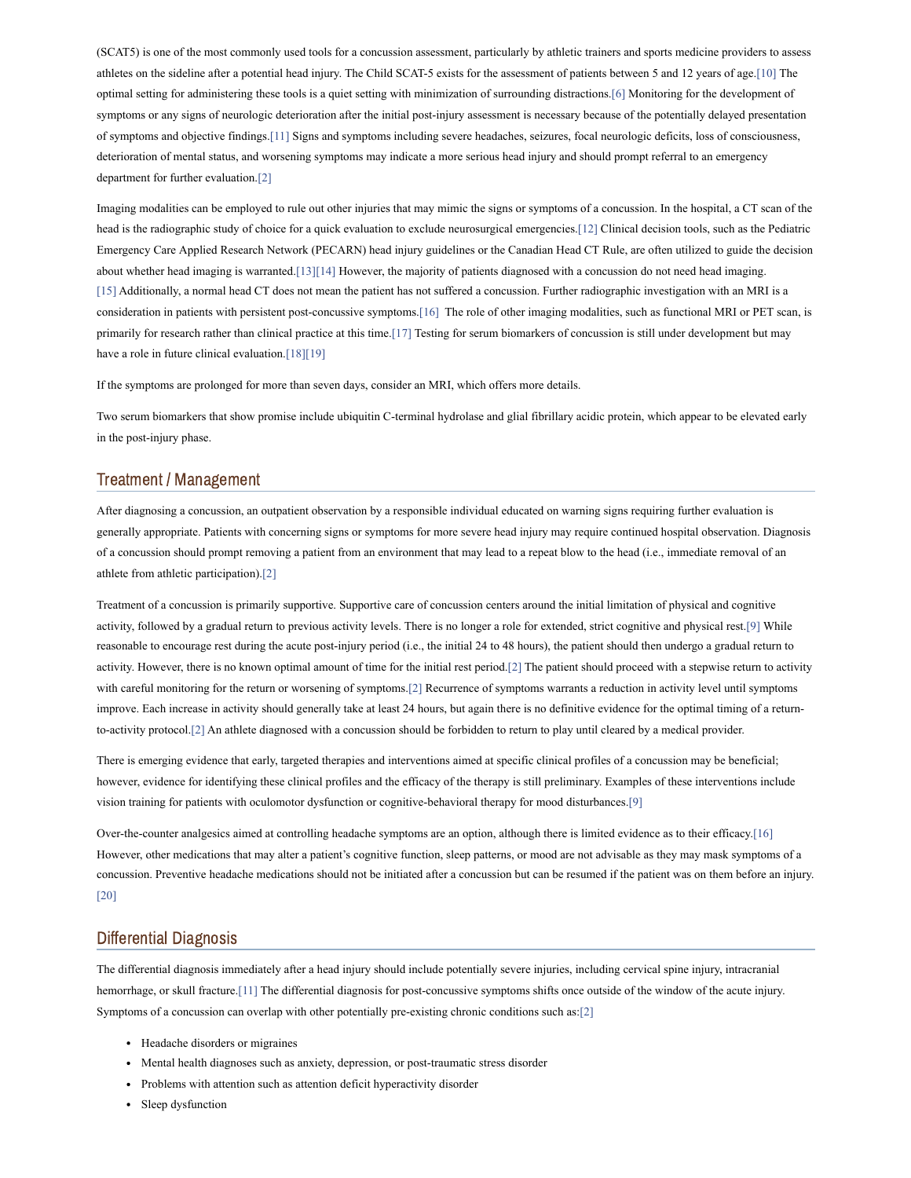(SCAT5) is one of the most commonly used tools for a concussion assessment, particularly by athletic trainers and sports medicine providers to assess athletes on the sideline after a potential head injury. The Child SCAT-5 exists for the assessment of patients between 5 and 12 years of age.[\[10\]](#page-4-9) The optimal setting for administering these tools is a quiet setting with minimization of surrounding distractions.[\[6\]](#page-4-5) Monitoring for the development of symptoms or any signs of neurologic deterioration after the initial post-injury assessment is necessary because of the potentially delayed presentation of symptoms and objective findings[.\[11\]](#page-4-10) Signs and symptoms including severe headaches, seizures, focal neurologic deficits, loss of consciousness, deterioration of mental status, and worsening symptoms may indicate a more serious head injury and should prompt referral to an emergency department for further evaluation[.\[2\]](#page-4-1)

Imaging modalities can be employed to rule out other injuries that may mimic the signs or symptoms of a concussion. In the hospital, a CT scan of the head is the radiographic study of choice for a quick evaluation to exclude neurosurgical emergencies[.\[12\]](#page-4-11) Clinical decision tools, such as the Pediatric Emergency Care Applied Research Network (PECARN) head injury guidelines or the Canadian Head CT Rule, are often utilized to guide the decision about whether head imaging is warranted[.\[13\]](#page-5-0)[\[14\]](#page-5-1) However, the majority of patients diagnosed with a concussion do not need head imaging. [\[15\]](#page-5-2) Additionally, a normal head CT does not mean the patient has not suffered a concussion. Further radiographic investigation with an MRI is a consideration in patients with persistent post-concussive symptoms.[\[16\]](#page-5-3) The role of other imaging modalities, such as functional MRI or PET scan, is primarily for research rather than clinical practice at this time.[\[17\]](#page-5-4) Testing for serum biomarkers of concussion is still under development but may have a role in future clinical evaluation.<sup>[\[18\]](#page-5-5)[\[19\]](#page-5-6)</sup>

If the symptoms are prolonged for more than seven days, consider an MRI, which offers more details.

Two serum biomarkers that show promise include ubiquitin C-terminal hydrolase and glial fibrillary acidic protein, which appear to be elevated early in the post-injury phase.

#### Treatment / Management

After diagnosing a concussion, an outpatient observation by a responsible individual educated on warning signs requiring further evaluation is generally appropriate. Patients with concerning signs or symptoms for more severe head injury may require continued hospital observation. Diagnosis of a concussion should prompt removing a patient from an environment that may lead to a repeat blow to the head (i.e., immediate removal of an athlete from athletic participation).[\[2\]](#page-4-1)

Treatment of a concussion is primarily supportive. Supportive care of concussion centers around the initial limitation of physical and cognitive activity, followed by a gradual return to previous activity levels. There is no longer a role for extended, strict cognitive and physical rest.[\[9\]](#page-4-8) While reasonable to encourage rest during the acute post-injury period (i.e., the initial 24 to 48 hours), the patient should then undergo a gradual return to activity. However, there is no known optimal amount of time for the initial rest period.[\[2\]](#page-4-1) The patient should proceed with a stepwise return to activity with careful monitoring for the return or worsening of symptoms[.\[2\]](#page-4-1) Recurrence of symptoms warrants a reduction in activity level until symptoms improve. Each increase in activity should generally take at least 24 hours, but again there is no definitive evidence for the optimal timing of a returnto-activity protocol.[\[2\]](#page-4-1) An athlete diagnosed with a concussion should be forbidden to return to play until cleared by a medical provider.

There is emerging evidence that early, targeted therapies and interventions aimed at specific clinical profiles of a concussion may be beneficial; however, evidence for identifying these clinical profiles and the efficacy of the therapy is still preliminary. Examples of these interventions include vision training for patients with oculomotor dysfunction or cognitive-behavioral therapy for mood disturbances.[\[9\]](#page-4-8)

Over-the-counter analgesics aimed at controlling headache symptoms are an option, although there is limited evidence as to their efficacy.[\[16\]](#page-5-3) However, other medications that may alter a patient's cognitive function, sleep patterns, or mood are not advisable as they may mask symptoms of a concussion. Preventive headache medications should not be initiated after a concussion but can be resumed if the patient was on them before an injury. [\[20\]](#page-5-7)

#### Differential Diagnosis

The differential diagnosis immediately after a head injury should include potentially severe injuries, including cervical spine injury, intracranial hemorrhage, or skull fracture[.\[11\]](#page-4-10) The differential diagnosis for post-concussive symptoms shifts once outside of the window of the acute injury. Symptoms of a concussion can overlap with other potentially pre-existing chronic conditions such as:[\[2\]](#page-4-1)

- Headache disorders or migraines
- Mental health diagnoses such as anxiety, depression, or post-traumatic stress disorder
- Problems with attention such as attention deficit hyperactivity disorder
- Sleep dysfunction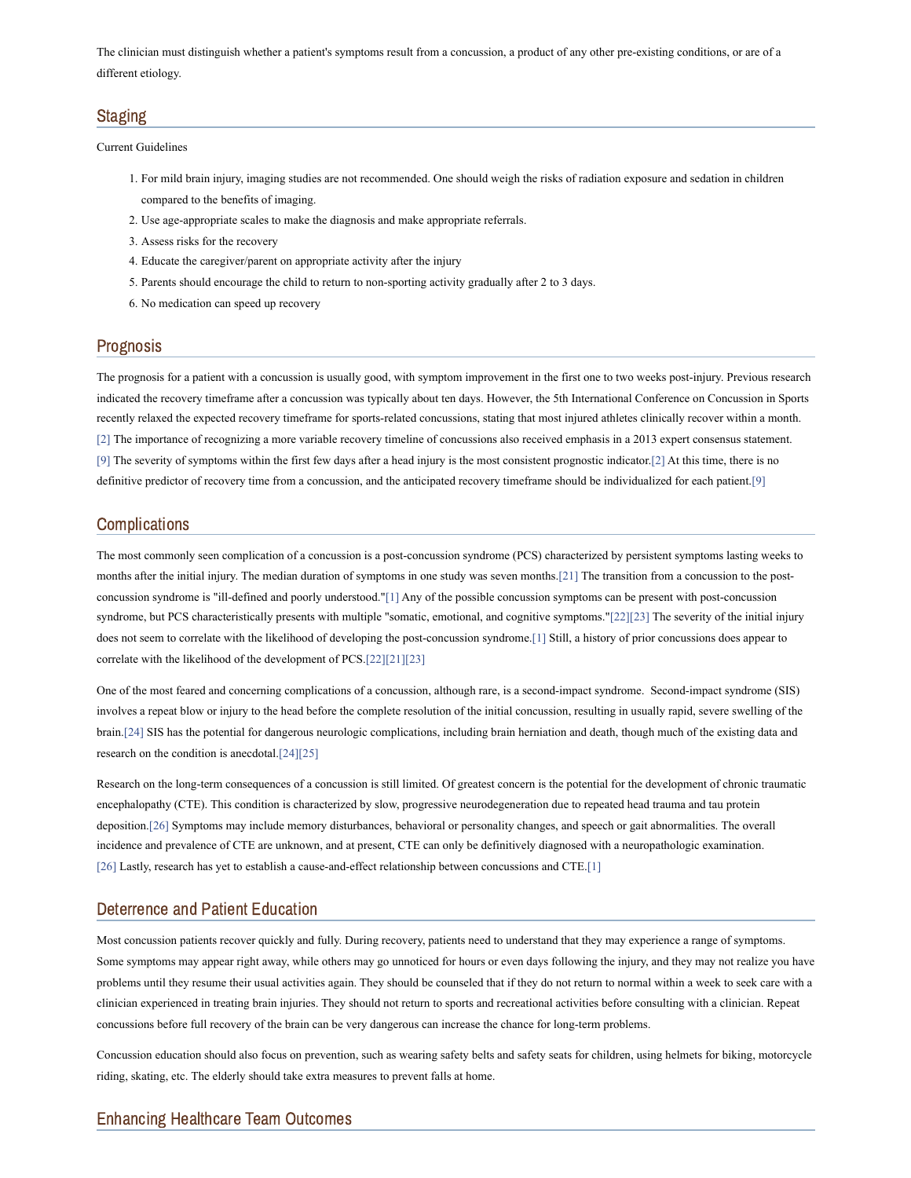The clinician must distinguish whether a patient's symptoms result from a concussion, a product of any other pre-existing conditions, or are of a different etiology.

# **Staging**

Current Guidelines

- 1. For mild brain injury, imaging studies are not recommended. One should weigh the risks of radiation exposure and sedation in children compared to the benefits of imaging.
- 2. Use age-appropriate scales to make the diagnosis and make appropriate referrals.
- 3. Assess risks for the recovery
- 4. Educate the caregiver/parent on appropriate activity after the injury
- 5. Parents should encourage the child to return to non-sporting activity gradually after 2 to 3 days.
- 6. No medication can speed up recovery

### Prognosis

The prognosis for a patient with a concussion is usually good, with symptom improvement in the first one to two weeks post-injury. Previous research indicated the recovery timeframe after a concussion was typically about ten days. However, the 5th International Conference on Concussion in Sports recently relaxed the expected recovery timeframe for sports-related concussions, stating that most injured athletes clinically recover within a month. [\[2\]](#page-4-1) The importance of recognizing a more variable recovery timeline of concussions also received emphasis in a 2013 expert consensus statement. [\[9\]](#page-4-8) The severity of symptoms within the first few days after a head injury is the most consistent prognostic indicator.[\[2\]](#page-4-1) At this time, there is no definitive predictor of recovery time from a concussion, and the anticipated recovery timeframe should be individualized for each patient[.\[9\]](#page-4-8)

### **Complications**

The most commonly seen complication of a concussion is a post-concussion syndrome (PCS) characterized by persistent symptoms lasting weeks to months after the initial injury. The median duration of symptoms in one study was seven months.[\[21\]](#page-5-8) The transition from a concussion to the postconcussion syndrome is "ill-defined and poorly understood.["\[1\]](#page-4-0) Any of the possible concussion symptoms can be present with post-concussion syndrome, but PCS characteristically presents with multiple "somatic, emotional, and cognitive symptoms.["\[22\]](#page-5-9)[\[23\]](#page-5-10) The severity of the initial injury does not seem to correlate with the likelihood of developing the post-concussion syndrome.[\[1\]](#page-4-0) Still, a history of prior concussions does appear to correlate with the likelihood of the development of PCS.[\[22\]](#page-5-9)[\[21\]](#page-5-8)[\[23\]](#page-5-10)

One of the most feared and concerning complications of a concussion, although rare, is a second-impact syndrome. Second-impact syndrome (SIS) involves a repeat blow or injury to the head before the complete resolution of the initial concussion, resulting in usually rapid, severe swelling of the brain.[\[24\]](#page-5-11) SIS has the potential for dangerous neurologic complications, including brain herniation and death, though much of the existing data and research on the condition is anecdotal[.\[24\]](#page-5-11)[\[25\]](#page-5-12)

Research on the long-term consequences of a concussion is still limited. Of greatest concern is the potential for the development of chronic traumatic encephalopathy (CTE). This condition is characterized by slow, progressive neurodegeneration due to repeated head trauma and tau protein deposition[.\[26\]](#page-5-13) Symptoms may include memory disturbances, behavioral or personality changes, and speech or gait abnormalities. The overall incidence and prevalence of CTE are unknown, and at present, CTE can only be definitively diagnosed with a neuropathologic examination. [\[26\]](#page-5-13) Lastly, research has yet to establish a cause-and-effect relationship between concussions and CTE.[\[1\]](#page-4-0)

### Deterrence and Patient Education

Most concussion patients recover quickly and fully. During recovery, patients need to understand that they may experience a range of symptoms. Some symptoms may appear right away, while others may go unnoticed for hours or even days following the injury, and they may not realize you have problems until they resume their usual activities again. They should be counseled that if they do not return to normal within a week to seek care with a clinician experienced in treating brain injuries. They should not return to sports and recreational activities before consulting with a clinician. Repeat concussions before full recovery of the brain can be very dangerous can increase the chance for long-term problems.

Concussion education should also focus on prevention, such as wearing safety belts and safety seats for children, using helmets for biking, motorcycle riding, skating, etc. The elderly should take extra measures to prevent falls at home.

# Enhancing Healthcare Team Outcomes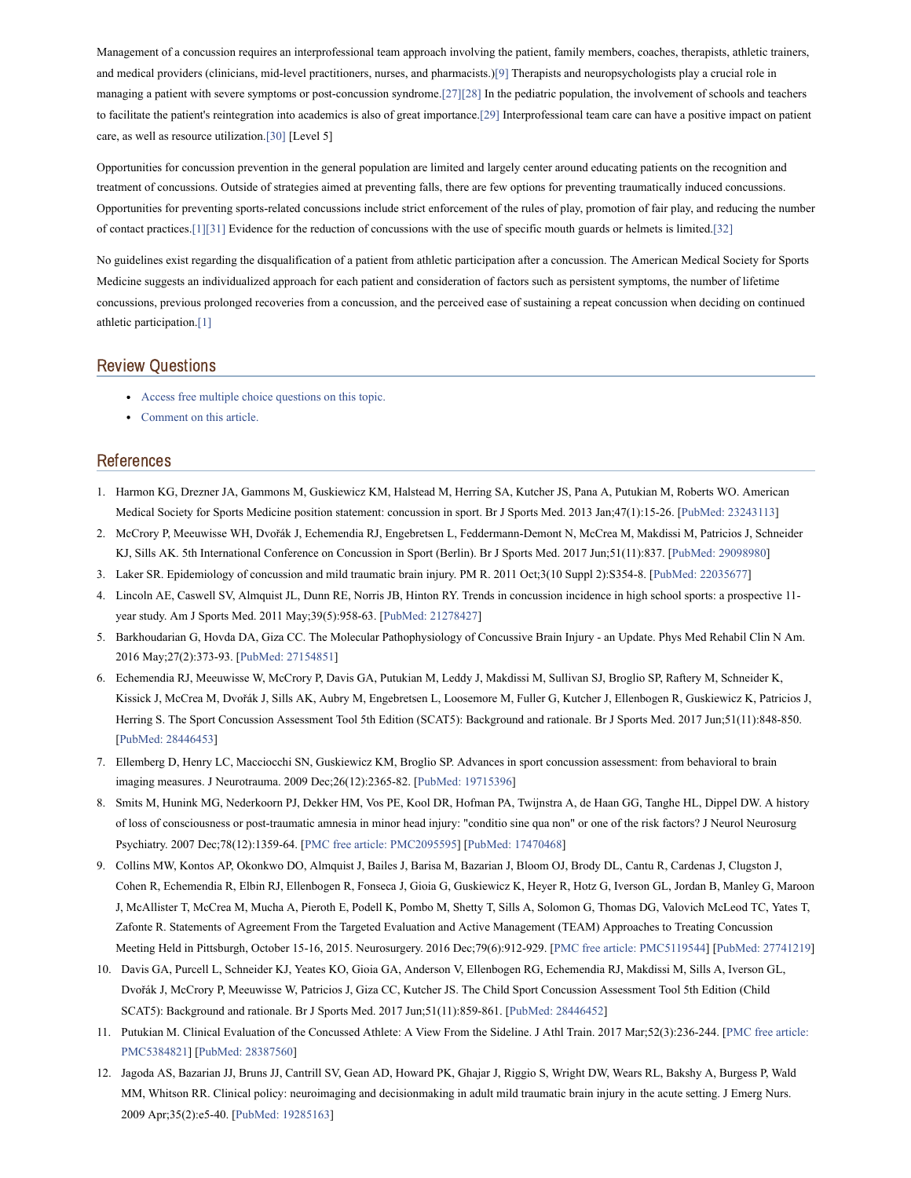Management of a concussion requires an interprofessional team approach involving the patient, family members, coaches, therapists, athletic trainers, and medical providers (clinicians, mid-level practitioners, nurses, and pharmacists.)[\[9\]](#page-4-8) Therapists and neuropsychologists play a crucial role in managing a patient with severe symptoms or post-concussion syndrome[.\[27\]](#page-5-14)[\[28\]](#page-5-15) In the pediatric population, the involvement of schools and teachers to facilitate the patient's reintegration into academics is also of great importance.[\[29\]](#page-5-16) Interprofessional team care can have a positive impact on patient care, as well as resource utilization.[\[30\]](#page-5-17) [Level 5]

Opportunities for concussion prevention in the general population are limited and largely center around educating patients on the recognition and treatment of concussions. Outside of strategies aimed at preventing falls, there are few options for preventing traumatically induced concussions. Opportunities for preventing sports-related concussions include strict enforcement of the rules of play, promotion of fair play, and reducing the number of contact practices.[\[1\]](#page-4-0)[\[31\]](#page-5-18) Evidence for the reduction of concussions with the use of specific mouth guards or helmets is limited.[\[32\]](#page-5-19)

No guidelines exist regarding the disqualification of a patient from athletic participation after a concussion. The American Medical Society for Sports Medicine suggests an individualized approach for each patient and consideration of factors such as persistent symptoms, the number of lifetime concussions, previous prolonged recoveries from a concussion, and the perceived ease of sustaining a repeat concussion when deciding on continued athletic participation.[\[1\]](#page-4-0)

## Review Questions

- Access free multiple choice [questions](https://www.statpearls.com/account/trialuserreg/?articleid=42922&utm_source=pubmed&utm_campaign=reviews&utm_content=42922) on this topic.
- [Comment](https://www.statpearls.com/articlelibrary/commentarticle/42922/?utm_source=pubmed&utm_campaign=comments&utm_content=42922) on this article.

### References

- <span id="page-4-0"></span>1. Harmon KG, Drezner JA, Gammons M, Guskiewicz KM, Halstead M, Herring SA, Kutcher JS, Pana A, Putukian M, Roberts WO. American Medical Society for Sports Medicine position statement: concussion in sport. Br J Sports Med. 2013 Jan;47(1):15-26. [PubMed: [23243113](https://www.ncbi.nlm.nih.gov/pubmed/23243113)]
- <span id="page-4-1"></span>2. McCrory P, Meeuwisse WH, Dvořák J, Echemendia RJ, Engebretsen L, Feddermann-Demont N, McCrea M, Makdissi M, Patricios J, Schneider KJ, Sills AK. 5th International Conference on Concussion in Sport (Berlin). Br J Sports Med. 2017 Jun;51(11):837. [PubMed: [29098980](https://www.ncbi.nlm.nih.gov/pubmed/29098980)]
- <span id="page-4-2"></span>3. Laker SR. Epidemiology of concussion and mild traumatic brain injury. PM R. 2011 Oct;3(10 Suppl 2):S354-8. [PubMed: [22035677](https://www.ncbi.nlm.nih.gov/pubmed/22035677)]
- <span id="page-4-3"></span>4. Lincoln AE, Caswell SV, Almquist JL, Dunn RE, Norris JB, Hinton RY. Trends in concussion incidence in high school sports: a prospective 11 year study. Am J Sports Med. 2011 May;39(5):958-63. [PubMed: [21278427\]](https://www.ncbi.nlm.nih.gov/pubmed/21278427)
- <span id="page-4-4"></span>5. Barkhoudarian G, Hovda DA, Giza CC. The Molecular Pathophysiology of Concussive Brain Injury - an Update. Phys Med Rehabil Clin N Am. 2016 May;27(2):373-93. [PubMed: [27154851\]](https://www.ncbi.nlm.nih.gov/pubmed/27154851)
- <span id="page-4-5"></span>6. Echemendia RJ, Meeuwisse W, McCrory P, Davis GA, Putukian M, Leddy J, Makdissi M, Sullivan SJ, Broglio SP, Raftery M, Schneider K, Kissick J, McCrea M, Dvořák J, Sills AK, Aubry M, Engebretsen L, Loosemore M, Fuller G, Kutcher J, Ellenbogen R, Guskiewicz K, Patricios J, Herring S. The Sport Concussion Assessment Tool 5th Edition (SCAT5): Background and rationale. Br J Sports Med. 2017 Jun;51(11):848-850. [PubMed: [28446453\]](https://www.ncbi.nlm.nih.gov/pubmed/28446453)
- <span id="page-4-6"></span>7. Ellemberg D, Henry LC, Macciocchi SN, Guskiewicz KM, Broglio SP. Advances in sport concussion assessment: from behavioral to brain imaging measures. J Neurotrauma. 2009 Dec;26(12):2365-82. [PubMed: [19715396](https://www.ncbi.nlm.nih.gov/pubmed/19715396)]
- <span id="page-4-7"></span>8. Smits M, Hunink MG, Nederkoorn PJ, Dekker HM, Vos PE, Kool DR, Hofman PA, Twijnstra A, de Haan GG, Tanghe HL, Dippel DW. A history of loss of consciousness or post-traumatic amnesia in minor head injury: "conditio sine qua non" or one of the risk factors? J Neurol Neurosurg Psychiatry. 2007 Dec;78(12):1359-64. [PMC free article: [PMC2095595](https://www.ncbi.nlm.nih.gov/pmc/articles/PMC2095595/?report=reader)] [PubMed: [17470468\]](https://www.ncbi.nlm.nih.gov/pubmed/17470468)
- <span id="page-4-8"></span>9. Collins MW, Kontos AP, Okonkwo DO, Almquist J, Bailes J, Barisa M, Bazarian J, Bloom OJ, Brody DL, Cantu R, Cardenas J, Clugston J, Cohen R, Echemendia R, Elbin RJ, Ellenbogen R, Fonseca J, Gioia G, Guskiewicz K, Heyer R, Hotz G, Iverson GL, Jordan B, Manley G, Maroon J, McAllister T, McCrea M, Mucha A, Pieroth E, Podell K, Pombo M, Shetty T, Sills A, Solomon G, Thomas DG, Valovich McLeod TC, Yates T, Zafonte R. Statements of Agreement From the Targeted Evaluation and Active Management (TEAM) Approaches to Treating Concussion Meeting Held in Pittsburgh, October 15-16, 2015. Neurosurgery. 2016 Dec;79(6):912-929. [PMC free article: [PMC5119544\]](https://www.ncbi.nlm.nih.gov/pmc/articles/PMC5119544/?report=reader) [PubMed: [27741219](https://www.ncbi.nlm.nih.gov/pubmed/27741219)]
- <span id="page-4-9"></span>10. Davis GA, Purcell L, Schneider KJ, Yeates KO, Gioia GA, Anderson V, Ellenbogen RG, Echemendia RJ, Makdissi M, Sills A, Iverson GL, Dvořák J, McCrory P, Meeuwisse W, Patricios J, Giza CC, Kutcher JS. The Child Sport Concussion Assessment Tool 5th Edition (Child SCAT5): Background and rationale. Br J Sports Med. 2017 Jun;51(11):859-861. [PubMed: [28446452\]](https://www.ncbi.nlm.nih.gov/pubmed/28446452)
- <span id="page-4-10"></span>11. Putukian M. Clinical Evaluation of the Concussed Athlete: A View From the Sideline. J Athl Train. 2017 [Mar;52\(3\):236-244.](https://www.ncbi.nlm.nih.gov/pmc/articles/PMC5384821/?report=reader) [PMC free article: PMC5384821] [PubMed: [28387560\]](https://www.ncbi.nlm.nih.gov/pubmed/28387560)
- <span id="page-4-11"></span>12. Jagoda AS, Bazarian JJ, Bruns JJ, Cantrill SV, Gean AD, Howard PK, Ghajar J, Riggio S, Wright DW, Wears RL, Bakshy A, Burgess P, Wald MM, Whitson RR. Clinical policy: neuroimaging and decisionmaking in adult mild traumatic brain injury in the acute setting. J Emerg Nurs. 2009 Apr;35(2):e5-40. [PubMed: [19285163\]](https://www.ncbi.nlm.nih.gov/pubmed/19285163)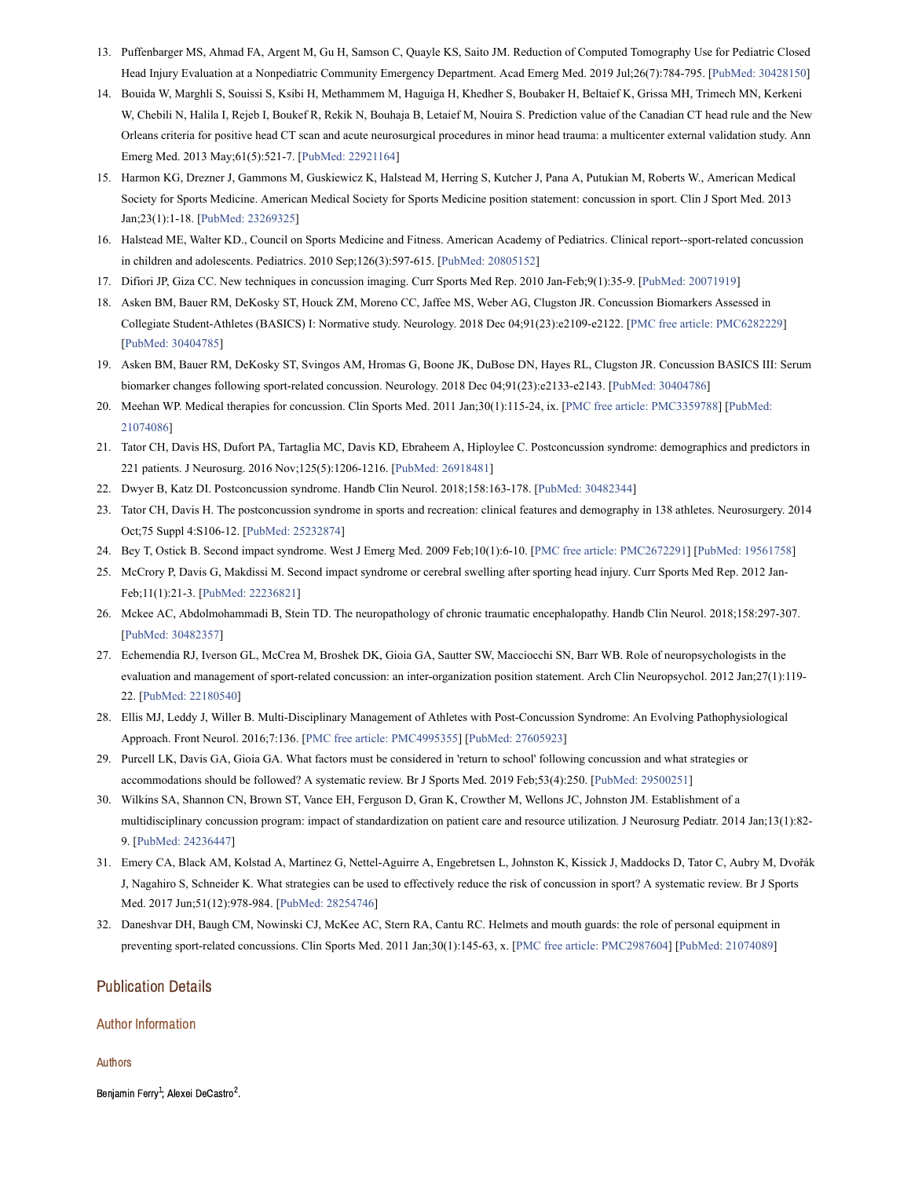- <span id="page-5-0"></span>13. Puffenbarger MS, Ahmad FA, Argent M, Gu H, Samson C, Quayle KS, Saito JM. Reduction of Computed Tomography Use for Pediatric Closed Head Injury Evaluation at a Nonpediatric Community Emergency Department. Acad Emerg Med. 2019 Jul;26(7):784-795. [PubMed: [30428150](https://www.ncbi.nlm.nih.gov/pubmed/30428150)]
- <span id="page-5-1"></span>14. Bouida W, Marghli S, Souissi S, Ksibi H, Methammem M, Haguiga H, Khedher S, Boubaker H, Beltaief K, Grissa MH, Trimech MN, Kerkeni W, Chebili N, Halila I, Rejeb I, Boukef R, Rekik N, Bouhaja B, Letaief M, Nouira S. Prediction value of the Canadian CT head rule and the New Orleans criteria for positive head CT scan and acute neurosurgical procedures in minor head trauma: a multicenter external validation study. Ann Emerg Med. 2013 May;61(5):521-7. [PubMed: [22921164](https://www.ncbi.nlm.nih.gov/pubmed/22921164)]
- <span id="page-5-2"></span>15. Harmon KG, Drezner J, Gammons M, Guskiewicz K, Halstead M, Herring S, Kutcher J, Pana A, Putukian M, Roberts W., American Medical Society for Sports Medicine. American Medical Society for Sports Medicine position statement: concussion in sport. Clin J Sport Med. 2013 Jan;23(1):1-18. [PubMed: [23269325\]](https://www.ncbi.nlm.nih.gov/pubmed/23269325)
- <span id="page-5-3"></span>16. Halstead ME, Walter KD., Council on Sports Medicine and Fitness. American Academy of Pediatrics. Clinical report--sport-related concussion in children and adolescents. Pediatrics. 2010 Sep;126(3):597-615. [PubMed: [20805152\]](https://www.ncbi.nlm.nih.gov/pubmed/20805152)
- <span id="page-5-4"></span>17. Difiori JP, Giza CC. New techniques in concussion imaging. Curr Sports Med Rep. 2010 Jan-Feb;9(1):35-9. [PubMed: [20071919\]](https://www.ncbi.nlm.nih.gov/pubmed/20071919)
- <span id="page-5-5"></span>18. Asken BM, Bauer RM, DeKosky ST, Houck ZM, Moreno CC, Jaffee MS, Weber AG, Clugston JR. Concussion Biomarkers Assessed in Collegiate Student-Athletes (BASICS) I: Normative study. Neurology. 2018 Dec 04;91(23):e2109-e2122. [PMC free article: [PMC6282229](https://www.ncbi.nlm.nih.gov/pmc/articles/PMC6282229/?report=reader)] [PubMed: [30404785\]](https://www.ncbi.nlm.nih.gov/pubmed/30404785)
- <span id="page-5-6"></span>19. Asken BM, Bauer RM, DeKosky ST, Svingos AM, Hromas G, Boone JK, DuBose DN, Hayes RL, Clugston JR. Concussion BASICS III: Serum biomarker changes following sport-related concussion. Neurology. 2018 Dec 04;91(23):e2133-e2143. [PubMed: [30404786](https://www.ncbi.nlm.nih.gov/pubmed/30404786)]
- <span id="page-5-7"></span>20. Meehan WP. Medical therapies for concussion. Clin Sports Med. 2011 [Jan;30\(1\):115-24,](https://www.ncbi.nlm.nih.gov/pubmed/21074086) ix. [PMC free article: [PMC3359788\]](https://www.ncbi.nlm.nih.gov/pmc/articles/PMC3359788/?report=reader) [PubMed: 21074086]
- <span id="page-5-8"></span>21. Tator CH, Davis HS, Dufort PA, Tartaglia MC, Davis KD, Ebraheem A, Hiploylee C. Postconcussion syndrome: demographics and predictors in 221 patients. J Neurosurg. 2016 Nov;125(5):1206-1216. [PubMed: [26918481](https://www.ncbi.nlm.nih.gov/pubmed/26918481)]
- <span id="page-5-9"></span>22. Dwyer B, Katz DI. Postconcussion syndrome. Handb Clin Neurol. 2018;158:163-178. [PubMed: [30482344](https://www.ncbi.nlm.nih.gov/pubmed/30482344)]
- <span id="page-5-10"></span>23. Tator CH, Davis H. The postconcussion syndrome in sports and recreation: clinical features and demography in 138 athletes. Neurosurgery. 2014 Oct;75 Suppl 4:S106-12. [PubMed: [25232874](https://www.ncbi.nlm.nih.gov/pubmed/25232874)]
- <span id="page-5-11"></span>24. Bey T, Ostick B. Second impact syndrome. West J Emerg Med. 2009 Feb;10(1):6-10. [PMC free article: [PMC2672291\]](https://www.ncbi.nlm.nih.gov/pmc/articles/PMC2672291/?report=reader) [PubMed: [19561758](https://www.ncbi.nlm.nih.gov/pubmed/19561758)]
- <span id="page-5-12"></span>25. McCrory P, Davis G, Makdissi M. Second impact syndrome or cerebral swelling after sporting head injury. Curr Sports Med Rep. 2012 Jan-Feb;11(1):21-3. [PubMed: [22236821](https://www.ncbi.nlm.nih.gov/pubmed/22236821)]
- <span id="page-5-13"></span>26. Mckee AC, Abdolmohammadi B, Stein TD. The neuropathology of chronic traumatic encephalopathy. Handb Clin Neurol. 2018;158:297-307. [PubMed: [30482357\]](https://www.ncbi.nlm.nih.gov/pubmed/30482357)
- <span id="page-5-14"></span>27. Echemendia RJ, Iverson GL, McCrea M, Broshek DK, Gioia GA, Sautter SW, Macciocchi SN, Barr WB. Role of neuropsychologists in the evaluation and management of sport-related concussion: an inter-organization position statement. Arch Clin Neuropsychol. 2012 Jan;27(1):119- 22. [PubMed: [22180540\]](https://www.ncbi.nlm.nih.gov/pubmed/22180540)
- <span id="page-5-15"></span>28. Ellis MJ, Leddy J, Willer B. Multi-Disciplinary Management of Athletes with Post-Concussion Syndrome: An Evolving Pathophysiological Approach. Front Neurol. 2016;7:136. [PMC free article: [PMC4995355\]](https://www.ncbi.nlm.nih.gov/pmc/articles/PMC4995355/?report=reader) [PubMed: [27605923\]](https://www.ncbi.nlm.nih.gov/pubmed/27605923)
- <span id="page-5-16"></span>29. Purcell LK, Davis GA, Gioia GA. What factors must be considered in 'return to school' following concussion and what strategies or accommodations should be followed? A systematic review. Br J Sports Med. 2019 Feb;53(4):250. [PubMed: [29500251](https://www.ncbi.nlm.nih.gov/pubmed/29500251)]
- <span id="page-5-17"></span>30. Wilkins SA, Shannon CN, Brown ST, Vance EH, Ferguson D, Gran K, Crowther M, Wellons JC, Johnston JM. Establishment of a multidisciplinary concussion program: impact of standardization on patient care and resource utilization. J Neurosurg Pediatr. 2014 Jan;13(1):82- 9. [PubMed: [24236447\]](https://www.ncbi.nlm.nih.gov/pubmed/24236447)
- <span id="page-5-18"></span>31. Emery CA, Black AM, Kolstad A, Martinez G, Nettel-Aguirre A, Engebretsen L, Johnston K, Kissick J, Maddocks D, Tator C, Aubry M, Dvořák J, Nagahiro S, Schneider K. What strategies can be used to effectively reduce the risk of concussion in sport? A systematic review. Br J Sports Med. 2017 Jun;51(12):978-984. [PubMed: [28254746\]](https://www.ncbi.nlm.nih.gov/pubmed/28254746)
- <span id="page-5-19"></span>32. Daneshvar DH, Baugh CM, Nowinski CJ, McKee AC, Stern RA, Cantu RC. Helmets and mouth guards: the role of personal equipment in preventing sport-related concussions. Clin Sports Med. 2011 Jan;30(1):145-63, x. [PMC free article: [PMC2987604](https://www.ncbi.nlm.nih.gov/pmc/articles/PMC2987604/?report=reader)] [PubMed: [21074089\]](https://www.ncbi.nlm.nih.gov/pubmed/21074089)

# Publication Details

#### Author Information

#### Authors

Benjamin Ferry<sup>1</sup>: Alexei DeCastro<sup>2</sup>.